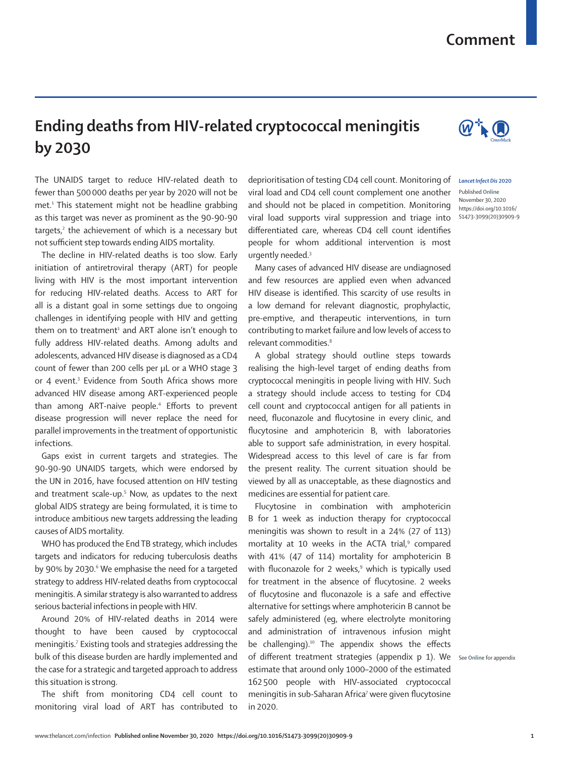## **Comment**

## **Ending deaths from HIV-related cryptococcal meningitis by 2030**

The UNAIDS target to reduce HIV-related death to fewer than 500000 deaths per year by 2020 will not be met.1 This statement might not be headline grabbing as this target was never as prominent as the 90-90-90 targets,<sup>2</sup> the achievement of which is a necessary but not sufficient step towards ending AIDS mortality.

The decline in HIV-related deaths is too slow. Early initiation of antiretroviral therapy (ART) for people living with HIV is the most important intervention for reducing HIV-related deaths. Access to ART for all is a distant goal in some settings due to ongoing challenges in identifying people with HIV and getting them on to treatment<sup>1</sup> and ART alone isn't enough to fully address HIV-related deaths. Among adults and adolescents, advanced HIV disease is diagnosed as a CD4 count of fewer than 200 cells per µL or a WHO stage 3 or 4 event.<sup>3</sup> Evidence from South Africa shows more advanced HIV disease among ART-experienced people than among ART-naive people.4 Efforts to prevent disease progression will never replace the need for parallel improvements in the treatment of opportunistic infections.

Gaps exist in current targets and strategies. The 90-90-90 UNAIDS targets, which were endorsed by the UN in 2016, have focused attention on HIV testing and treatment scale-up.5 Now, as updates to the next global AIDS strategy are being formulated, it is time to introduce ambitious new targets addressing the leading causes of AIDS mortality.

WHO has produced the End TB strategy, which includes targets and indicators for reducing tuberculosis deaths by 90% by 2030.<sup>6</sup> We emphasise the need for a targeted strategy to address HIV-related deaths from cryptococcal meningitis. A similar strategy is also warranted to address serious bacterial infections in people with HIV.

Around 20% of HIV-related deaths in 2014 were thought to have been caused by cryptococcal meningitis.7 Existing tools and strategies addressing the bulk of this disease burden are hardly implemented and the case for a strategic and targeted approach to address this situation is strong.

The shift from monitoring CD4 cell count to monitoring viral load of ART has contributed to

deprioritisation of testing CD4 cell count. Monitoring of viral load and CD4 cell count complement one another and should not be placed in competition. Monitoring viral load supports viral suppression and triage into differentiated care, whereas CD4 cell count identifies people for whom additional intervention is most urgently needed.3

Many cases of advanced HIV disease are undiagnosed and few resources are applied even when advanced HIV disease is identified. This scarcity of use results in a low demand for relevant diagnostic, prophylactic, pre-emptive, and therapeutic interventions, in turn contributing to market failure and low levels of access to relevant commodities.<sup>8</sup>

A global strategy should outline steps towards realising the high-level target of ending deaths from cryptococcal meningitis in people living with HIV. Such a strategy should include access to testing for CD4 cell count and cryptococcal antigen for all patients in need, fluconazole and flucytosine in every clinic, and flucytosine and amphotericin B, with laboratories able to support safe administration, in every hospital. Widespread access to this level of care is far from the present reality. The current situation should be viewed by all as unacceptable, as these diagnostics and medicines are essential for patient care.

Flucytosine in combination with amphotericin B for 1 week as induction therapy for cryptococcal meningitis was shown to result in a 24% (27 of 113) mortality at 10 weeks in the ACTA trial,<sup>9</sup> compared with 41% (47 of 114) mortality for amphotericin B with fluconazole for 2 weeks,<sup>9</sup> which is typically used for treatment in the absence of flucytosine. 2 weeks of flucytosine and fluconazole is a safe and effective alternative for settings where amphotericin B cannot be safely administered (eg, where electrolyte monitoring and administration of intravenous infusion might be challenging).<sup>10</sup> The appendix shows the effects of different treatment strategies (appendix p 1). We See **Online** for appendixestimate that around only 1000–2000 of the estimated 162 500 people with HIV-associated cryptococcal meningitis in sub-Saharan Africa<sup>7</sup> were given flucytosine in 2020.

*Lancet Infect Dis* **2020**

Published **Online** November 30, 2020 https://doi.org/10.1016/ S1473-3099(20)30909-9